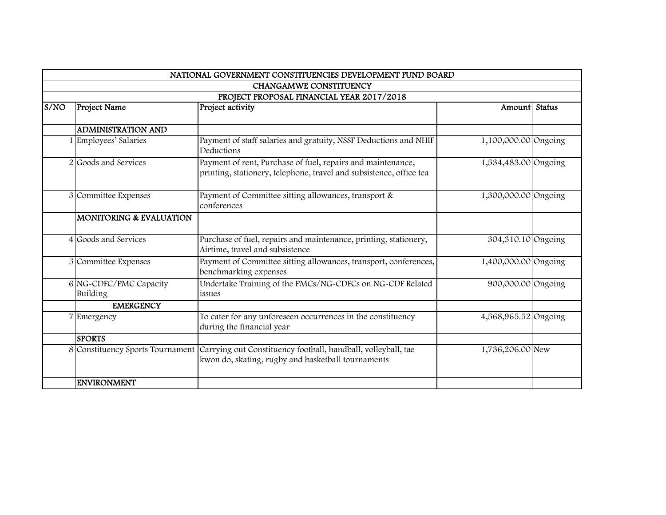|      |                                           | NATIONAL GOVERNMENT CONSTITUENCIES DEVELOPMENT FUND BOARD                                                                                            |                      |  |  |
|------|-------------------------------------------|------------------------------------------------------------------------------------------------------------------------------------------------------|----------------------|--|--|
|      | CHANGAMWE CONSTITUENCY                    |                                                                                                                                                      |                      |  |  |
|      | PROJECT PROPOSAL FINANCIAL YEAR 2017/2018 |                                                                                                                                                      |                      |  |  |
| S/NO | Project Name                              | Project activity                                                                                                                                     | Amount Status        |  |  |
|      |                                           |                                                                                                                                                      |                      |  |  |
|      | <b>ADMINISTRATION AND</b>                 |                                                                                                                                                      |                      |  |  |
|      | Employees' Salaries                       | Payment of staff salaries and gratuity, NSSF Deductions and NHIF<br>Deductions                                                                       | 1,100,000.00 Ongoing |  |  |
|      | 2 Goods and Services                      | Payment of rent, Purchase of fuel, repairs and maintenance,<br>printing, stationery, telephone, travel and subsistence, office tea                   | 1,534,483.00 Ongoing |  |  |
|      | 3 Committee Expenses                      | Payment of Committee sitting allowances, transport &<br>conferences                                                                                  | 1,300,000.00 Ongoing |  |  |
|      | <b>MONITORING &amp; EVALUATION</b>        |                                                                                                                                                      |                      |  |  |
|      | 4 Goods and Services                      | Purchase of fuel, repairs and maintenance, printing, stationery,<br>Airtime, travel and subsistence                                                  | 304,310.10 Ongoing   |  |  |
|      | 5 Committee Expenses                      | Payment of Committee sitting allowances, transport, conferences,<br>benchmarking expenses                                                            | 1,400,000.00 Ongoing |  |  |
|      | 6 NG-CDFC/PMC Capacity<br>Building        | Undertake Training of the PMCs/NG-CDFCs on NG-CDF Related<br>issues                                                                                  | 900,000.00 Ongoing   |  |  |
|      | <b>EMERGENCY</b>                          |                                                                                                                                                      |                      |  |  |
|      | Emergency                                 | To cater for any unforeseen occurrences in the constituency<br>during the financial year                                                             | 4,568,965.52 Ongoing |  |  |
|      | <b>SPORTS</b>                             |                                                                                                                                                      |                      |  |  |
|      |                                           | 8 Constituency Sports Tournament Carrying out Constituency football, handball, volleyball, tae<br>kwon do, skating, rugby and basketball tournaments | 1,736,206.00 New     |  |  |
|      | <b>ENVIRONMENT</b>                        |                                                                                                                                                      |                      |  |  |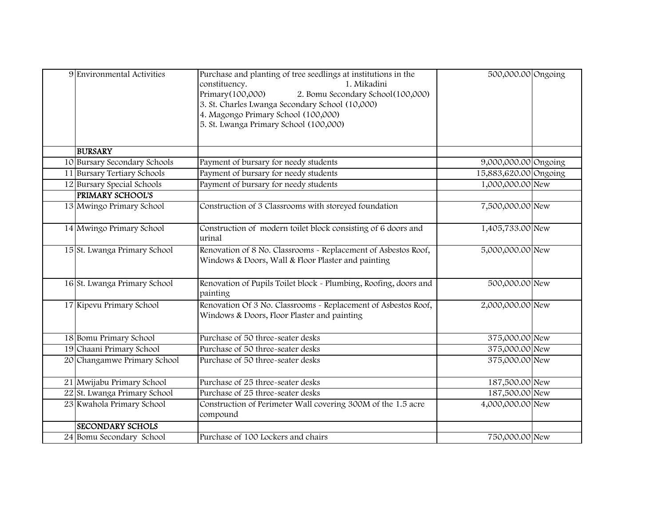| 9 Environmental Activities   | Purchase and planting of tree seedlings at institutions in the<br>1. Mikadini<br>constituency.<br>Primary(100,000)<br>2. Bomu Secondary School(100,000)<br>3. St. Charles Lwanga Secondary School (10,000)<br>4. Magongo Primary School (100,000)<br>5. St. Lwanga Primary School (100,000) | 500,000.00 Ongoing    |  |
|------------------------------|---------------------------------------------------------------------------------------------------------------------------------------------------------------------------------------------------------------------------------------------------------------------------------------------|-----------------------|--|
| <b>BURSARY</b>               |                                                                                                                                                                                                                                                                                             |                       |  |
| 10 Bursary Secondary Schools | Payment of bursary for needy students                                                                                                                                                                                                                                                       | 9,000,000.00 Ongoing  |  |
| 11 Bursary Tertiary Schools  | Payment of bursary for needy students                                                                                                                                                                                                                                                       | 15,883,620.00 Ongoing |  |
| 12 Bursary Special Schools   | Payment of bursary for needy students                                                                                                                                                                                                                                                       | 1,000,000.00 New      |  |
| <b>PRIMARY SCHOOL'S</b>      |                                                                                                                                                                                                                                                                                             |                       |  |
| 13 Mwingo Primary School     | Construction of 3 Classrooms with storeyed foundation                                                                                                                                                                                                                                       | 7,500,000.00 New      |  |
| 14 Mwingo Primary School     | Construction of modern toilet block consisting of 6 doors and<br>urinal                                                                                                                                                                                                                     | 1,405,733.00 New      |  |
| 15 St. Lwanga Primary School | Renovation of 8 No. Classrooms - Replacement of Asbestos Roof,<br>Windows & Doors, Wall & Floor Plaster and painting                                                                                                                                                                        | 5,000,000.00 New      |  |
| 16 St. Lwanga Primary School | Renovation of Pupils Toilet block - Plumbing, Roofing, doors and<br>painting                                                                                                                                                                                                                | 500,000.00 New        |  |
| 17 Kipevu Primary School     | Renovation Of 3 No. Classrooms - Replacement of Asbestos Roof,<br>Windows & Doors, Floor Plaster and painting                                                                                                                                                                               | 2,000,000.00 New      |  |
| 18 Bomu Primary School       | Purchase of 50 three-seater desks                                                                                                                                                                                                                                                           | 375,000.00 New        |  |
| 19 Chaani Primary School     | Purchase of 50 three-seater desks                                                                                                                                                                                                                                                           | 375,000.00 New        |  |
| 20 Changamwe Primary School  | Purchase of 50 three-seater desks                                                                                                                                                                                                                                                           | 375,000.00 New        |  |
| 21 Mwijabu Primary School    | Purchase of 25 three-seater desks                                                                                                                                                                                                                                                           | 187,500.00 New        |  |
| 22 St. Lwanga Primary School | Purchase of 25 three-seater desks                                                                                                                                                                                                                                                           | 187,500.00 New        |  |
| 23 Kwahola Primary School    | Construction of Perimeter Wall covering 300M of the 1.5 acre<br>compound                                                                                                                                                                                                                    | 4,000,000.00 New      |  |
| <b>SECONDARY SCHOLS</b>      |                                                                                                                                                                                                                                                                                             |                       |  |
| 24 Bomu Secondary School     | Purchase of 100 Lockers and chairs                                                                                                                                                                                                                                                          | 750,000.00 New        |  |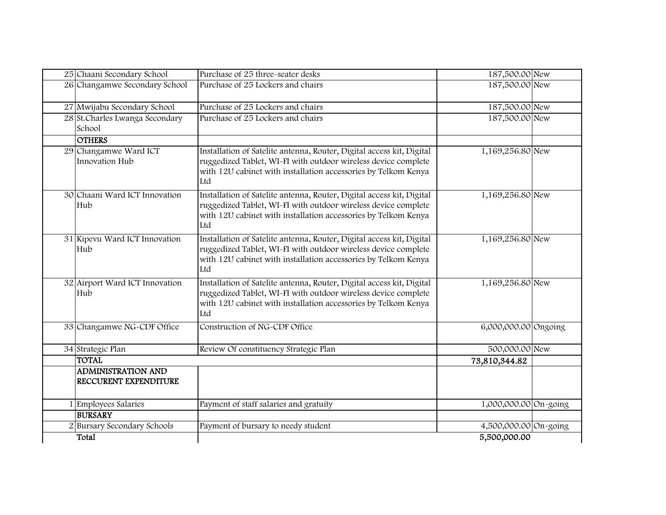| 25 Chaani Secondary School                         | Purchase of 25 three-seater desks                                                                                                                                                                                | 187,500.00 New        |  |
|----------------------------------------------------|------------------------------------------------------------------------------------------------------------------------------------------------------------------------------------------------------------------|-----------------------|--|
| 26 Changamwe Secondary School                      | Purchase of 25 Lockers and chairs                                                                                                                                                                                | 187,500.00 New        |  |
| 27 Mwijabu Secondary School                        | Purchase of 25 Lockers and chairs                                                                                                                                                                                | 187,500.00 New        |  |
| 28 St.Charles Lwanga Secondary<br>School           | Purchase of 25 Lockers and chairs                                                                                                                                                                                | 187,500.00 New        |  |
| <b>OTHERS</b>                                      |                                                                                                                                                                                                                  |                       |  |
| 29 Changamwe Ward ICT<br>Innovation Hub            | Installation of Satelite antenna, Router, Digital access kit, Digital<br>ruggedized Tablet, WI-FI with outdoor wireless device complete<br>with 12U cabinet with installation accessories by Telkom Kenya<br>Ltd | 1,169,256.80 New      |  |
| 30 Chaani Ward ICT Innovation<br>Hub               | Installation of Satelite antenna, Router, Digital access kit, Digital<br>ruggedized Tablet, WI-FI with outdoor wireless device complete<br>with 12U cabinet with installation accessories by Telkom Kenya<br>Ltd | 1,169,256.80 New      |  |
| 31 Kipevu Ward ICT Innovation<br>Hub               | Installation of Satelite antenna, Router, Digital access kit, Digital<br>ruggedized Tablet, WI-FI with outdoor wireless device complete<br>with 12U cabinet with installation accessories by Telkom Kenya<br>Ltd | 1,169,256.80 New      |  |
| 32 Airport Ward ICT Innovation<br>Hub              | Installation of Satelite antenna, Router, Digital access kit, Digital<br>ruggedized Tablet, WI-FI with outdoor wireless device complete<br>with 12U cabinet with installation accessories by Telkom Kenya<br>Ltd | 1,169,256.80 New      |  |
| 33 Changamwe NG-CDF Office                         | Construction of NG-CDF Office                                                                                                                                                                                    | 6,000,000.00 Ongoing  |  |
| 34 Strategic Plan                                  | Review Of constituency Strategic Plan                                                                                                                                                                            | 500,000.00 New        |  |
| <b>TOTAL</b>                                       |                                                                                                                                                                                                                  | 73,810,344.82         |  |
| <b>ADMINISTRATION AND</b><br>RECCURENT EXPENDITURE |                                                                                                                                                                                                                  |                       |  |
| <b>Employees Salaries</b>                          | Payment of staff salaries and gratuity                                                                                                                                                                           | 1,000,000.00 On-going |  |
| <b>BURSARY</b>                                     |                                                                                                                                                                                                                  |                       |  |
| 2 Bursary Secondary Schools                        | Payment of bursary to needy student                                                                                                                                                                              | 4,500,000.00 On-going |  |
| Total                                              |                                                                                                                                                                                                                  | 5,500,000.00          |  |